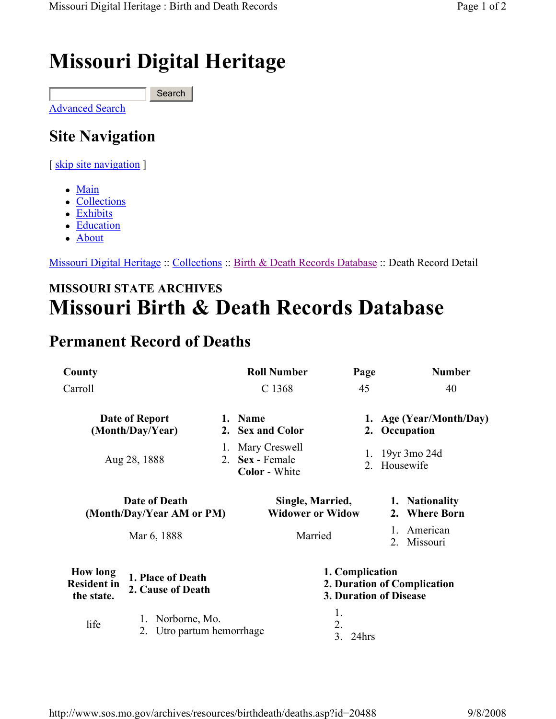# Missouri Digital Heritage

**Search** 

Advanced Search

## Site Navigation

[ skip site navigation ]

- Main
- Collections
- Exhibits
- Education
- About

Missouri Digital Heritage :: Collections :: Birth & Death Records Database :: Death Record Detail

### MISSOURI STATE ARCHIVES Missouri Birth & Death Records Database

#### Permanent Record of Deaths

| County                                              |                                                     |         | <b>Roll Number</b>                                                              | Page                    | <b>Number</b>                            |
|-----------------------------------------------------|-----------------------------------------------------|---------|---------------------------------------------------------------------------------|-------------------------|------------------------------------------|
| Carroll                                             |                                                     | C 1368  | 45                                                                              | 40                      |                                          |
| Date of Report<br>(Month/Day/Year)                  |                                                     |         | 1. Name<br>2. Sex and Color                                                     |                         | 1. Age (Year/Month/Day)<br>2. Occupation |
| Aug 28, 1888                                        |                                                     | 1.      | Mary Creswell<br>2. Sex - Female<br><b>Color</b> - White                        | 1.                      | 19yr 3mo 24d<br>2. Housewife             |
| Date of Death<br>(Month/Day/Year AM or PM)          |                                                     |         | Single, Married,<br><b>Widower or Widow</b>                                     |                         | 1. Nationality<br>2. Where Born          |
| Mar 6, 1888                                         |                                                     | Married |                                                                                 | American<br>2. Missouri |                                          |
| <b>How long</b><br><b>Resident in</b><br>the state. | 1. Place of Death<br>2. Cause of Death              |         | 1. Complication<br>2. Duration of Complication<br><b>3. Duration of Disease</b> |                         |                                          |
| life                                                | Norborne, Mo.<br>1.<br>Utro partum hemorrhage<br>2. |         |                                                                                 | 1.<br>2.<br>3.<br>24hrs |                                          |